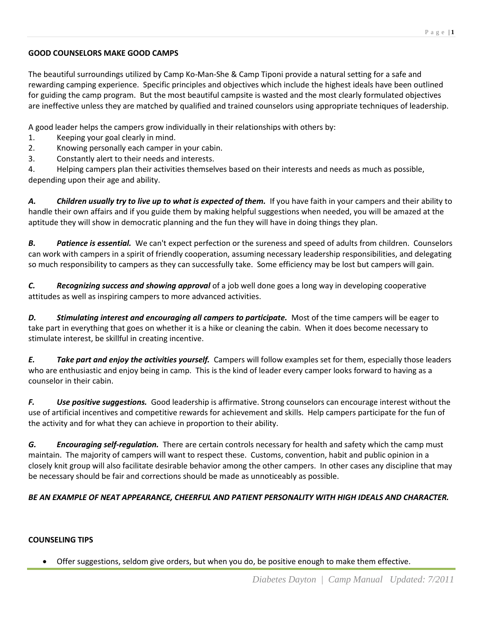## **GOOD COUNSELORS MAKE GOOD CAMPS**

The beautiful surroundings utilized by Camp Ko-Man-She & Camp Tiponi provide a natural setting for a safe and rewarding camping experience. Specific principles and objectives which include the highest ideals have been outlined for guiding the camp program. But the most beautiful campsite is wasted and the most clearly formulated objectives are ineffective unless they are matched by qualified and trained counselors using appropriate techniques of leadership.

A good leader helps the campers grow individually in their relationships with others by:

- 1. Keeping your goal clearly in mind.
- 2. Knowing personally each camper in your cabin.
- 3. Constantly alert to their needs and interests.

4. Helping campers plan their activities themselves based on their interests and needs as much as possible, depending upon their age and ability.

*A. Children usually try to live up to what is expected of them.* If you have faith in your campers and their ability to handle their own affairs and if you guide them by making helpful suggestions when needed, you will be amazed at the aptitude they will show in democratic planning and the fun they will have in doing things they plan.

*B. Patience is essential.* We can't expect perfection or the sureness and speed of adults from children. Counselors can work with campers in a spirit of friendly cooperation, assuming necessary leadership responsibilities, and delegating so much responsibility to campers as they can successfully take. Some efficiency may be lost but campers will gain.

*C. Recognizing success and showing approval* of a job well done goes a long way in developing cooperative attitudes as well as inspiring campers to more advanced activities.

*D. Stimulating interest and encouraging all campers to participate.* Most of the time campers will be eager to take part in everything that goes on whether it is a hike or cleaning the cabin. When it does become necessary to stimulate interest, be skillful in creating incentive.

*E. Take part and enjoy the activities yourself.* Campers will follow examples set for them, especially those leaders who are enthusiastic and enjoy being in camp. This is the kind of leader every camper looks forward to having as a counselor in their cabin.

*F. Use positive suggestions.* Good leadership is affirmative. Strong counselors can encourage interest without the use of artificial incentives and competitive rewards for achievement and skills. Help campers participate for the fun of the activity and for what they can achieve in proportion to their ability.

*G. Encouraging self-regulation.* There are certain controls necessary for health and safety which the camp must maintain. The majority of campers will want to respect these. Customs, convention, habit and public opinion in a closely knit group will also facilitate desirable behavior among the other campers. In other cases any discipline that may be necessary should be fair and corrections should be made as unnoticeably as possible.

## *BE AN EXAMPLE OF NEAT APPEARANCE, CHEERFUL AND PATIENT PERSONALITY WITH HIGH IDEALS AND CHARACTER.*

## **COUNSELING TIPS**

Offer suggestions, seldom give orders, but when you do, be positive enough to make them effective.